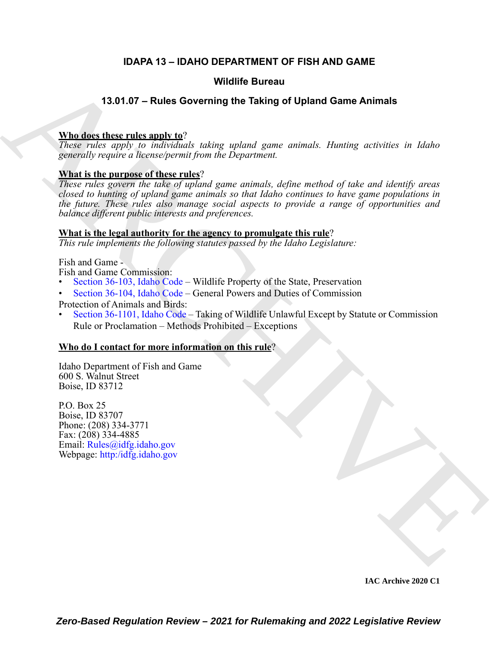### **IDAPA 13 – IDAHO DEPARTMENT OF FISH AND GAME**

#### **Wildlife Bureau**

#### **13.01.07 – Rules Governing the Taking of Upland Game Animals**

#### **Who does these rules apply to**?

*These rules apply to individuals taking upland game animals. Hunting activities in Idaho generally require a license/permit from the Department.*

#### **What is the purpose of these rules**?

**VALUE of Exercision of the Street Principal [C](https://legislature.idaho.gov/statutesrules/idstat/Title36/T36CH11/SECT36-1101/)ontrol of the Street Principal Control of the Street Principal Control of the Street Principal Control of the Street Principal Control of the Street Principal Control of the C** *These rules govern the take of upland game animals, define method of take and identify areas closed to hunting of upland game animals so that Idaho continues to have game populations in the future. These rules also manage social aspects to provide a range of opportunities and balance different public interests and preferences.*

#### **What is the legal authority for the agency to promulgate this rule**?

*This rule implements the following statutes passed by the Idaho Legislature:*

Fish and Game -

Fish and Game Commission:

- Section 36-103, Idaho Code Wildlife Property of the State, Preservation
- Section 36-104, Idaho Code General Powers and Duties of Commission

Protection of Animals and Birds:

• Section 36-1101, Idaho Code – Taking of Wildlife Unlawful Except by Statute or Commission Rule or Proclamation – Methods Prohibited – Exceptions

#### **Who do I contact for more information on this rule**?

Idaho Department of Fish and Game 600 S. Walnut Street Boise, ID 83712

P.O. Box 25 Boise, ID 83707 Phone: (208) 334-3771 Fax: (208) 334-4885 Email: Rules@idfg.idaho.gov Webpage: http:/idfg.idaho.gov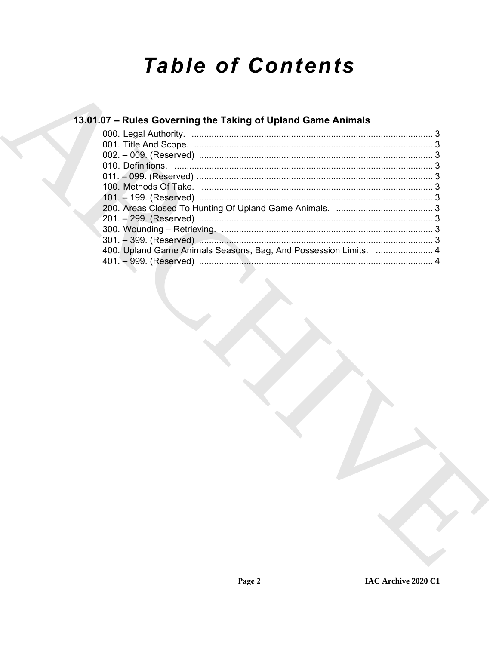# **Table of Contents**

### 13.01.07 - Rules Governing the Taking of Upland Game Animals

| 400. Upland Game Animals Seasons, Bag, And Possession Limits.  4 |  |
|------------------------------------------------------------------|--|
|                                                                  |  |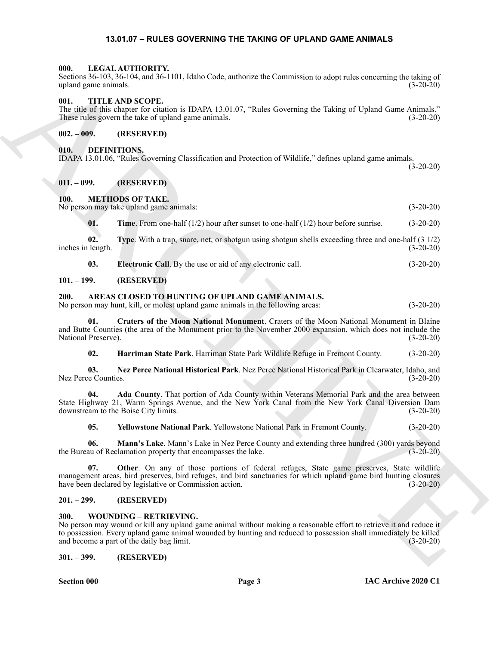#### <span id="page-2-21"></span>**13.01.07 – RULES GOVERNING THE TAKING OF UPLAND GAME ANIMALS**

#### <span id="page-2-1"></span><span id="page-2-0"></span>**000. LEGAL AUTHORITY.**

Sections 36-103, 36-104, and 36-1101, Idaho Code, authorize the Commission to adopt rules concerning the taking of upland game animals. (3-20-20)

#### <span id="page-2-26"></span><span id="page-2-2"></span>**001. TITLE AND SCOPE.**

The title of this chapter for citation is IDAPA 13.01.07, "Rules Governing the Taking of Upland Game Animals." These rules govern the take of upland game animals. (3-20-20)

#### <span id="page-2-3"></span>**002. – 009. (RESERVED)**

#### <span id="page-2-20"></span><span id="page-2-4"></span>**010. DEFINITIONS.**

IDAPA 13.01.06, "Rules Governing Classification and Protection of Wildlife," defines upland game animals. (3-20-20)

#### <span id="page-2-5"></span>**011. – 099. (RESERVED)**

#### <span id="page-2-22"></span><span id="page-2-6"></span>**100. METHODS OF TAKE.**

No person may take upland game animals: (3-20-20)

<span id="page-2-25"></span><span id="page-2-24"></span>**01. Time**. From one-half (1/2) hour after sunset to one-half (1/2) hour before sunrise. (3-20-20)

**02.** Type. With a trap, snare, net, or shotgun using shotgun shells exceeding three and one-half (3 1/2) inches in length. (3-20-20)

<span id="page-2-23"></span><span id="page-2-12"></span>**03. Electronic Call**. By the use or aid of any electronic call. (3-20-20)

#### <span id="page-2-7"></span>**101. – 199. (RESERVED)**

#### <span id="page-2-8"></span>**200. AREAS CLOSED TO HUNTING OF UPLAND GAME ANIMALS.**

No person may hunt, kill, or molest upland game animals in the following areas: (3-20-20)

ARCHIVE **01. Craters of the Moon National Monument**. Craters of the Moon National Monument in Blaine and Butte Counties (the area of the Monument prior to the November 2000 expansion, which does not include the National Preserve). (3-20-20)

<span id="page-2-17"></span><span id="page-2-15"></span><span id="page-2-14"></span><span id="page-2-13"></span>**02. Harriman State Park**. Harriman State Park Wildlife Refuge in Fremont County. (3-20-20)

**03. Nez Perce National Historical Park**. Nez Perce National Historical Park in Clearwater, Idaho, and Nez Perce Counties. (3-20-20)

**04. Ada County**. That portion of Ada County within Veterans Memorial Park and the area between State Highway 21, Warm Springs Avenue, and the New York Canal from the New York Canal Diversion Dam downstream to the Boise City limits. (3-20-20) downstream to the Boise City limits.

<span id="page-2-19"></span><span id="page-2-18"></span><span id="page-2-16"></span>**05. Yellowstone National Park**. Yellowstone National Park in Fremont County. (3-20-20)

**06. Mann's Lake**. Mann's Lake in Nez Perce County and extending three hundred (300) yards beyond the Bureau of Reclamation property that encompasses the lake. (3-20-20)

**07. Other**. On any of those portions of federal refuges, State game preserves, State wildlife management areas, bird preserves, bird refuges, and bird sanctuaries for which upland game bird hunting closures have been declared by legislative or Commission action. (3-20-20) have been declared by legislative or Commission action.

#### <span id="page-2-9"></span>**201. – 299. (RESERVED)**

#### <span id="page-2-27"></span><span id="page-2-10"></span>**300. WOUNDING – RETRIEVING.**

No person may wound or kill any upland game animal without making a reasonable effort to retrieve it and reduce it to possession. Every upland game animal wounded by hunting and reduced to possession shall immediately be killed and become a part of the daily bag limit. (3-20-20)

#### <span id="page-2-11"></span>**301. – 399. (RESERVED)**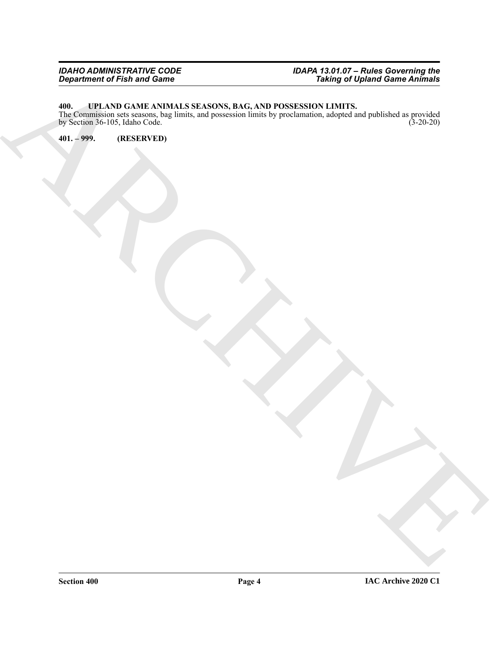#### *IDAHO ADMINISTRATIVE CODE IDAPA 13.01.07 – Rules Governing the Department of Fish and Game Taking of Upland Game Animals*

#### <span id="page-3-2"></span><span id="page-3-0"></span>**400. UPLAND GAME ANIMALS SEASONS, BAG, AND POSSESSION LIMITS.**

Beginning of dries and collections.<br>
The contract of the state of the contract of the contract of the contract of the contract of the contract of<br>
The contract of the contract of the contract of the contract of the contrac The Commission sets seasons, bag limits, and possession limits by proclamation, adopted and published as provided by Section 36-105, Idaho Code. (3-20-20)

<span id="page-3-1"></span>**401. – 999. (RESERVED)**